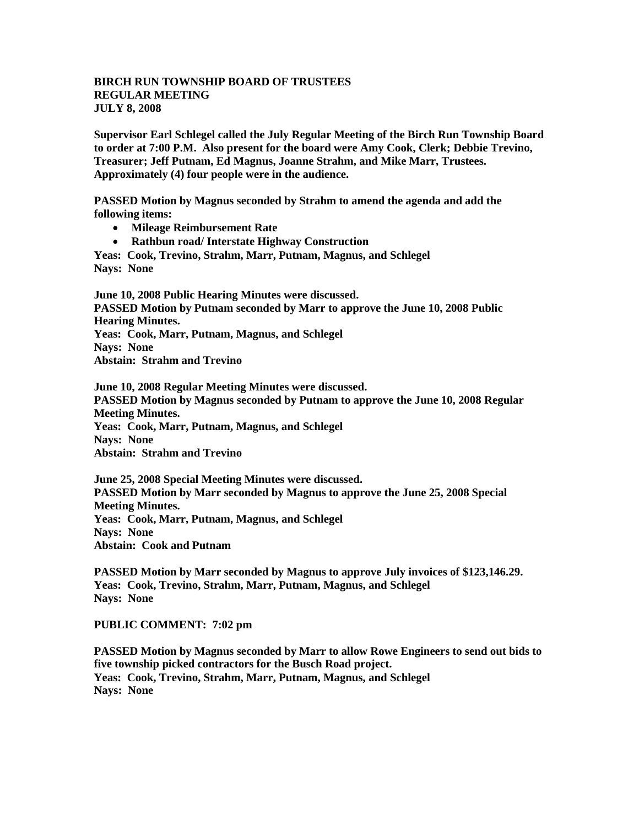## **BIRCH RUN TOWNSHIP BOARD OF TRUSTEES REGULAR MEETING JULY 8, 2008**

**Supervisor Earl Schlegel called the July Regular Meeting of the Birch Run Township Board to order at 7:00 P.M. Also present for the board were Amy Cook, Clerk; Debbie Trevino, Treasurer; Jeff Putnam, Ed Magnus, Joanne Strahm, and Mike Marr, Trustees. Approximately (4) four people were in the audience.** 

**PASSED Motion by Magnus seconded by Strahm to amend the agenda and add the following items:**

- **Mileage Reimbursement Rate**
- **Rathbun road/ Interstate Highway Construction**

**Yeas: Cook, Trevino, Strahm, Marr, Putnam, Magnus, and Schlegel Nays: None**

**June 10, 2008 Public Hearing Minutes were discussed. PASSED Motion by Putnam seconded by Marr to approve the June 10, 2008 Public Hearing Minutes. Yeas: Cook, Marr, Putnam, Magnus, and Schlegel Nays: None Abstain: Strahm and Trevino**

**June 10, 2008 Regular Meeting Minutes were discussed. PASSED Motion by Magnus seconded by Putnam to approve the June 10, 2008 Regular Meeting Minutes. Yeas: Cook, Marr, Putnam, Magnus, and Schlegel Nays: None Abstain: Strahm and Trevino**

**June 25, 2008 Special Meeting Minutes were discussed. PASSED Motion by Marr seconded by Magnus to approve the June 25, 2008 Special Meeting Minutes. Yeas: Cook, Marr, Putnam, Magnus, and Schlegel Nays: None Abstain: Cook and Putnam**

**PASSED Motion by Marr seconded by Magnus to approve July invoices of \$123,146.29. Yeas: Cook, Trevino, Strahm, Marr, Putnam, Magnus, and Schlegel Nays: None**

**PUBLIC COMMENT: 7:02 pm**

**PASSED Motion by Magnus seconded by Marr to allow Rowe Engineers to send out bids to five township picked contractors for the Busch Road project. Yeas: Cook, Trevino, Strahm, Marr, Putnam, Magnus, and Schlegel Nays: None**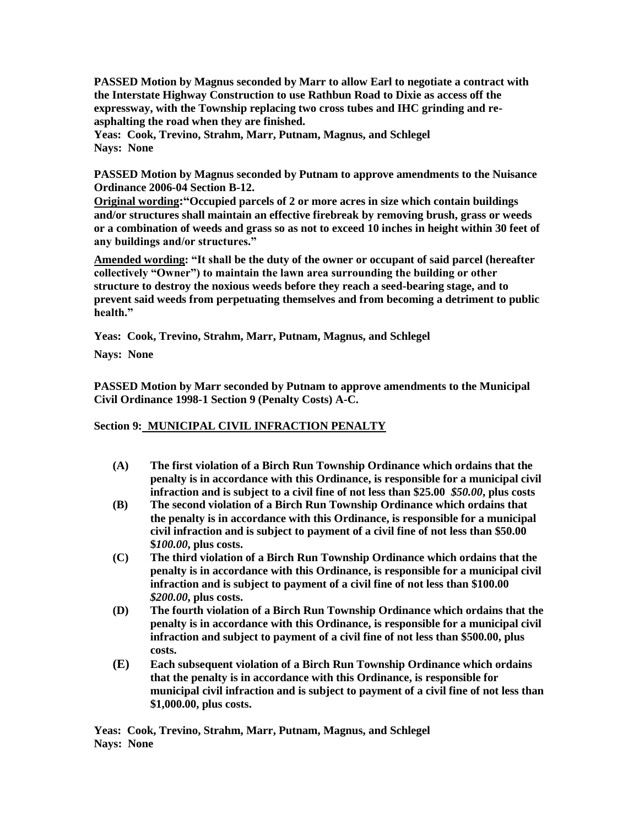**PASSED Motion by Magnus seconded by Marr to allow Earl to negotiate a contract with the Interstate Highway Construction to use Rathbun Road to Dixie as access off the expressway, with the Township replacing two cross tubes and IHC grinding and reasphalting the road when they are finished.**

**Yeas: Cook, Trevino, Strahm, Marr, Putnam, Magnus, and Schlegel Nays: None**

**PASSED Motion by Magnus seconded by Putnam to approve amendments to the Nuisance Ordinance 2006-04 Section B-12.** 

**Original wording:"Occupied parcels of 2 or more acres in size which contain buildings and/or structures shall maintain an effective firebreak by removing brush, grass or weeds or a combination of weeds and grass so as not to exceed 10 inches in height within 30 feet of any buildings and/or structures."**

**Amended wording: "It shall be the duty of the owner or occupant of said parcel (hereafter collectively "Owner") to maintain the lawn area surrounding the building or other structure to destroy the noxious weeds before they reach a seed-bearing stage, and to prevent said weeds from perpetuating themselves and from becoming a detriment to public health."**

**Yeas: Cook, Trevino, Strahm, Marr, Putnam, Magnus, and Schlegel**

**Nays: None**

**PASSED Motion by Marr seconded by Putnam to approve amendments to the Municipal Civil Ordinance 1998-1 Section 9 (Penalty Costs) A-C.**

## **Section 9: MUNICIPAL CIVIL INFRACTION PENALTY**

- **(A) The first violation of a Birch Run Township Ordinance which ordains that the penalty is in accordance with this Ordinance, is responsible for a municipal civil infraction and is subject to a civil fine of not less than \$25.00** *\$50.00***, plus costs**
- **(B) The second violation of a Birch Run Township Ordinance which ordains that the penalty is in accordance with this Ordinance, is responsible for a municipal civil infraction and is subject to payment of a civil fine of not less than \$50.00 \$***100.00***, plus costs.**
- **(C) The third violation of a Birch Run Township Ordinance which ordains that the penalty is in accordance with this Ordinance, is responsible for a municipal civil infraction and is subject to payment of a civil fine of not less than \$100.00**  *\$200.00***, plus costs.**
- **(D) The fourth violation of a Birch Run Township Ordinance which ordains that the penalty is in accordance with this Ordinance, is responsible for a municipal civil infraction and subject to payment of a civil fine of not less than \$500.00, plus costs.**
- **(E) Each subsequent violation of a Birch Run Township Ordinance which ordains that the penalty is in accordance with this Ordinance, is responsible for municipal civil infraction and is subject to payment of a civil fine of not less than \$1,000.00, plus costs.**

**Yeas: Cook, Trevino, Strahm, Marr, Putnam, Magnus, and Schlegel Nays: None**